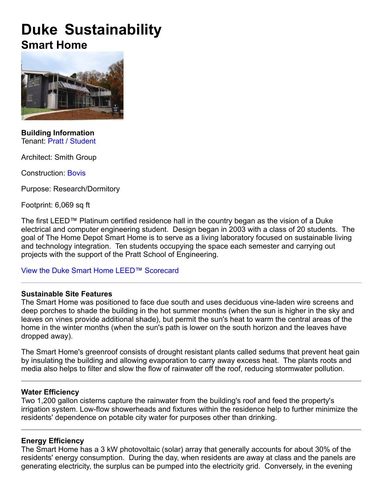# **Duke Sustainability Smart Home**



**Building Information** Tenant: Pratt / Student

Architect: Smith Group

Construction: Bovis

Purpose: Research/Dormitory

Footprint: 6,069 sq ft

The first LEED™ Platinum certified residence hall in the country began as the vision of a Duke electrical and computer engineering student. Design began in 2003 with a class of 20 students. The goal of The Home Depot Smart Home is to serve as a living laboratory focused on sustainable living and technology integration. Ten students occupying the space each semester and carrying out projects with the support of the Pratt School of Engineering.

View the Duke Smart Home LEED™ Scorecard

## **Sustainable Site Features**

The Smart Home was positioned to face due south and uses deciduous vineladen wire screens and deep porches to shade the building in the hot summer months (when the sun is higher in the sky and leaves on vines provide additional shade), but permit the sun's heat to warm the central areas of the home in the winter months (when the sun's path is lower on the south horizon and the leaves have dropped away).

The Smart Home's greenroof consists of drought resistant plants called sedums that prevent heat gain by insulating the building and allowing evaporation to carry away excess heat. The plants roots and media also helps to filter and slow the flow of rainwater off the roof, reducing stormwater pollution.

## **Water Efficiency**

Two 1,200 gallon cisterns capture the rainwater from the building's roof and feed the property's irrigation system. Low-flow showerheads and fixtures within the residence help to further minimize the residents' dependence on potable city water for purposes other than drinking.

# **Energy Efficiency**

The Smart Home has a 3 kW photovoltaic (solar) array that generally accounts for about 30% of the residents' energy consumption. During the day, when residents are away at class and the panels are generating electricity, the surplus can be pumped into the electricity grid. Conversely, in the evening